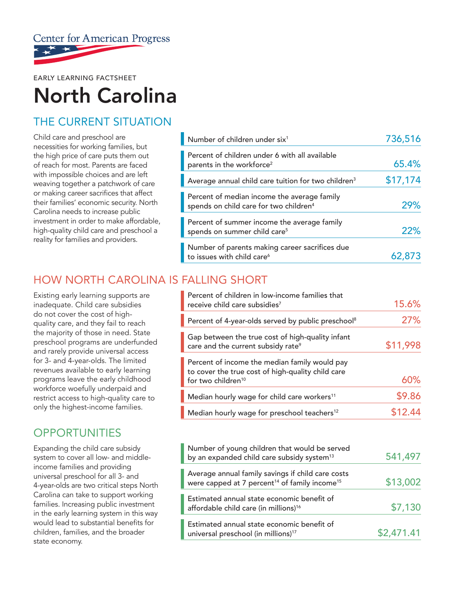

EARLY LEARNING FACTSHEET

# North Carolina

# THE CURRENT SITUATION

Child care and preschool are necessities for working families, but the high price of care puts them out of reach for most. Parents are faced with impossible choices and are left weaving together a patchwork of care or making career sacrifices that affect their families' economic security. North Carolina needs to increase public investment in order to make affordable, high-quality child care and preschool a reality for families and providers.

| Number of children under six <sup>1</sup>                                                         | 736,516  |
|---------------------------------------------------------------------------------------------------|----------|
| Percent of children under 6 with all available<br>parents in the workforce <sup>2</sup>           | 65.4%    |
| Average annual child care tuition for two children <sup>3</sup>                                   | \$17,174 |
| Percent of median income the average family<br>spends on child care for two children <sup>4</sup> | 29%      |
| Percent of summer income the average family<br>spends on summer child care <sup>5</sup>           | 22%      |
| Number of parents making career sacrifices due<br>to issues with child care <sup>6</sup>          | 62,873   |

### HOW NORTH CAROLINA IS FALLING SHORT

Existing early learning supports are inadequate. Child care subsidies do not cover the cost of highquality care, and they fail to reach the majority of those in need. State preschool programs are underfunded and rarely provide universal access for 3- and 4-year-olds. The limited revenues available to early learning programs leave the early childhood workforce woefully underpaid and restrict access to high-quality care to only the highest-income families.

## **OPPORTUNITIES**

Expanding the child care subsidy system to cover all low- and middleincome families and providing universal preschool for all 3- and 4-year-olds are two critical steps North Carolina can take to support working families. Increasing public investment in the early learning system in this way would lead to substantial benefits for children, families, and the broader state economy.

| Percent of children in low-income families that<br>receive child care subsidies <sup>7</sup>                                         | 15.6%    |
|--------------------------------------------------------------------------------------------------------------------------------------|----------|
| Percent of 4-year-olds served by public preschool <sup>8</sup>                                                                       | 27%      |
| Gap between the true cost of high-quality infant<br>care and the current subsidy rate <sup>9</sup>                                   | \$11,998 |
| Percent of income the median family would pay<br>to cover the true cost of high-quality child care<br>for two children <sup>10</sup> | 60%      |
| Median hourly wage for child care workers <sup>11</sup>                                                                              | \$9.86   |
| Median hourly wage for preschool teachers <sup>12</sup>                                                                              | \$12.44  |

| Number of young children that would be served<br>by an expanded child care subsidy system <sup>13</sup>                    | 541,497    |
|----------------------------------------------------------------------------------------------------------------------------|------------|
| Average annual family savings if child care costs<br>were capped at 7 percent <sup>14</sup> of family income <sup>15</sup> | \$13,002   |
| Estimated annual state economic benefit of<br>affordable child care (in millions) <sup>16</sup>                            | \$7,130    |
| Estimated annual state economic benefit of<br>universal preschool (in millions) <sup>17</sup>                              | \$2,471.41 |